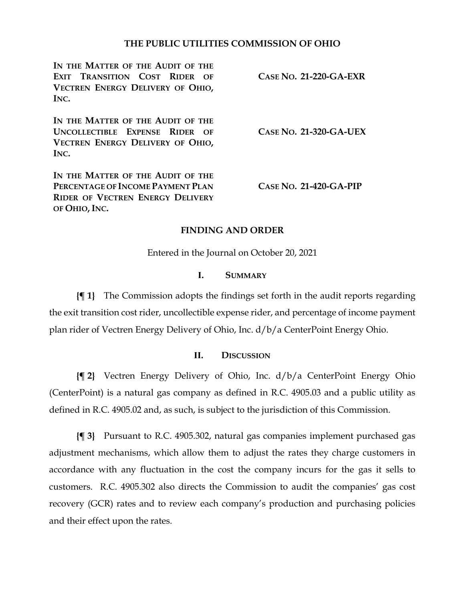### **THE PUBLIC UTILITIES COMMISSION OF OHIO**

| IN THE MATTER OF THE AUDIT OF THE<br>EXIT TRANSITION COST RIDER OF<br>VECTREN ENERGY DELIVERY OF OHIO,<br>INC.              | $CASE No. 21-220-GA-EXR$ |
|-----------------------------------------------------------------------------------------------------------------------------|--------------------------|
| IN THE MATTER OF THE AUDIT OF THE<br>UNCOLLECTIBLE EXPENSE RIDER<br>$\Omega$ F<br>VECTREN ENERGY DELIVERY OF OHIO,<br>INC.  | $CASE No. 21-320-GA-UEX$ |
| IN THE MATTER OF THE AUDIT OF THE<br>PERCENTAGE OF INCOME PAYMENT PLAN<br>RIDER OF VECTREN ENERGY DELIVERY<br>OF OHIO, INC. | $CASE No. 21-420-GA-PIP$ |

#### **FINDING AND ORDER**

Entered in the Journal on October 20, 2021

### **I. SUMMARY**

**{¶ 1}** The Commission adopts the findings set forth in the audit reports regarding the exit transition cost rider, uncollectible expense rider, and percentage of income payment plan rider of Vectren Energy Delivery of Ohio, Inc. d/b/a CenterPoint Energy Ohio.

#### **II. DISCUSSION**

**{¶ 2}** Vectren Energy Delivery of Ohio, Inc. d/b/a CenterPoint Energy Ohio (CenterPoint) is a natural gas company as defined in R.C. 4905.03 and a public utility as defined in R.C. 4905.02 and, as such, is subject to the jurisdiction of this Commission.

**{¶ 3}** Pursuant to R.C. 4905.302, natural gas companies implement purchased gas adjustment mechanisms, which allow them to adjust the rates they charge customers in accordance with any fluctuation in the cost the company incurs for the gas it sells to customers. R.C. 4905.302 also directs the Commission to audit the companies' gas cost recovery (GCR) rates and to review each company's production and purchasing policies and their effect upon the rates.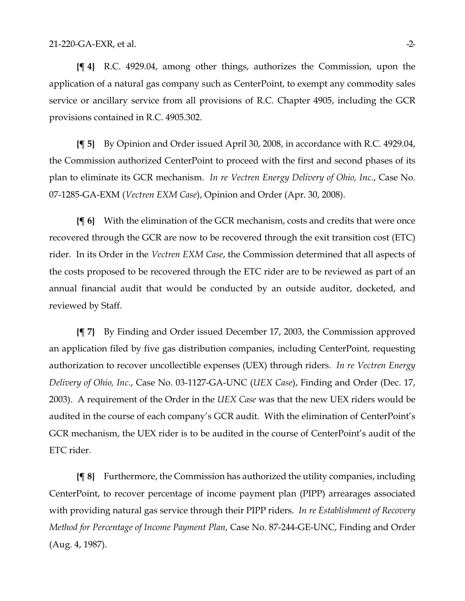**{¶ 4}** R.C. 4929.04, among other things, authorizes the Commission, upon the application of a natural gas company such as CenterPoint, to exempt any commodity sales service or ancillary service from all provisions of R.C. Chapter 4905, including the GCR provisions contained in R.C. 4905.302.

**{¶ 5}** By Opinion and Order issued April 30, 2008, in accordance with R.C. 4929.04, the Commission authorized CenterPoint to proceed with the first and second phases of its plan to eliminate its GCR mechanism. *In re Vectren Energy Delivery of Ohio, Inc.*, Case No. 07-1285-GA-EXM (*Vectren EXM Case*), Opinion and Order (Apr. 30, 2008).

**{¶ 6}** With the elimination of the GCR mechanism, costs and credits that were once recovered through the GCR are now to be recovered through the exit transition cost (ETC) rider. In its Order in the *Vectren EXM Case*, the Commission determined that all aspects of the costs proposed to be recovered through the ETC rider are to be reviewed as part of an annual financial audit that would be conducted by an outside auditor, docketed, and reviewed by Staff.

**{¶ 7}** By Finding and Order issued December 17, 2003, the Commission approved an application filed by five gas distribution companies, including CenterPoint, requesting authorization to recover uncollectible expenses (UEX) through riders. *In re Vectren Energy Delivery of Ohio, Inc.*, Case No. 03-1127-GA-UNC (*UEX Case*), Finding and Order (Dec. 17, 2003). A requirement of the Order in the *UEX Case* was that the new UEX riders would be audited in the course of each company's GCR audit. With the elimination of CenterPoint's GCR mechanism, the UEX rider is to be audited in the course of CenterPoint's audit of the ETC rider.

**{¶ 8}** Furthermore, the Commission has authorized the utility companies, including CenterPoint, to recover percentage of income payment plan (PIPP) arrearages associated with providing natural gas service through their PIPP riders. *In re Establishment of Recovery Method for Percentage of Income Payment Plan*, Case No. 87-244-GE-UNC, Finding and Order (Aug. 4, 1987).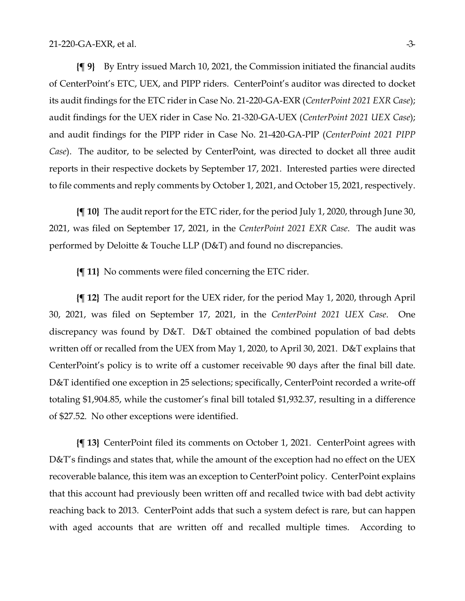**{¶ 9}** By Entry issued March 10, 2021, the Commission initiated the financial audits of CenterPoint's ETC, UEX, and PIPP riders. CenterPoint's auditor was directed to docket its audit findings for the ETC rider in Case No. 21-220-GA-EXR (*CenterPoint 2021 EXR Case*); audit findings for the UEX rider in Case No. 21-320-GA-UEX (*CenterPoint 2021 UEX Case*); and audit findings for the PIPP rider in Case No. 21-420-GA-PIP (*CenterPoint 2021 PIPP Case*). The auditor, to be selected by CenterPoint, was directed to docket all three audit reports in their respective dockets by September 17, 2021. Interested parties were directed to file comments and reply comments by October 1, 2021, and October 15, 2021, respectively.

**{¶ 10}** The audit report for the ETC rider, for the period July 1, 2020, through June 30, 2021, was filed on September 17, 2021, in the *CenterPoint 2021 EXR Case*. The audit was performed by Deloitte & Touche LLP (D&T) and found no discrepancies.

**{¶ 11}** No comments were filed concerning the ETC rider.

**{¶ 12}** The audit report for the UEX rider, for the period May 1, 2020, through April 30, 2021, was filed on September 17, 2021, in the *CenterPoint 2021 UEX Case*. One discrepancy was found by D&T. D&T obtained the combined population of bad debts written off or recalled from the UEX from May 1, 2020, to April 30, 2021. D&T explains that CenterPoint's policy is to write off a customer receivable 90 days after the final bill date. D&T identified one exception in 25 selections; specifically, CenterPoint recorded a write-off totaling \$1,904.85, while the customer's final bill totaled \$1,932.37, resulting in a difference of \$27.52. No other exceptions were identified.

**{¶ 13}** CenterPoint filed its comments on October 1, 2021. CenterPoint agrees with D&T's findings and states that, while the amount of the exception had no effect on the UEX recoverable balance, this item was an exception to CenterPoint policy. CenterPoint explains that this account had previously been written off and recalled twice with bad debt activity reaching back to 2013. CenterPoint adds that such a system defect is rare, but can happen with aged accounts that are written off and recalled multiple times. According to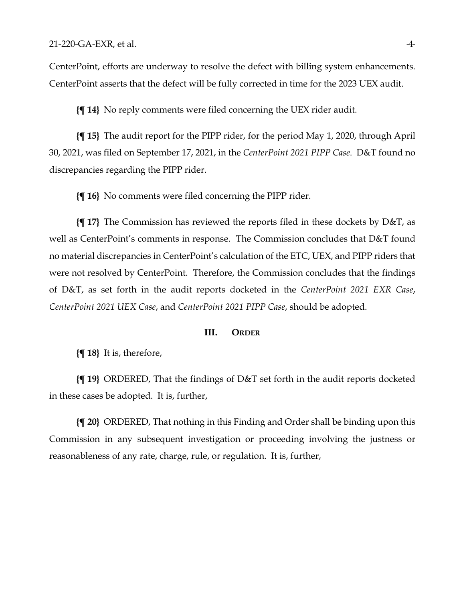CenterPoint, efforts are underway to resolve the defect with billing system enhancements. CenterPoint asserts that the defect will be fully corrected in time for the 2023 UEX audit.

**{¶ 14}** No reply comments were filed concerning the UEX rider audit.

**{¶ 15}** The audit report for the PIPP rider, for the period May 1, 2020, through April 30, 2021, was filed on September 17, 2021, in the *CenterPoint 2021 PIPP Case*. D&T found no discrepancies regarding the PIPP rider.

**{¶ 16}** No comments were filed concerning the PIPP rider.

**{¶ 17}** The Commission has reviewed the reports filed in these dockets by D&T, as well as CenterPoint's comments in response. The Commission concludes that D&T found no material discrepancies in CenterPoint's calculation of the ETC, UEX, and PIPP riders that were not resolved by CenterPoint. Therefore, the Commission concludes that the findings of D&T, as set forth in the audit reports docketed in the *CenterPoint 2021 EXR Case*, *CenterPoint 2021 UEX Case*, and *CenterPoint 2021 PIPP Case*, should be adopted.

#### **III. ORDER**

**{¶ 18}** It is, therefore,

**{¶ 19}** ORDERED, That the findings of D&T set forth in the audit reports docketed in these cases be adopted. It is, further,

**{¶ 20}** ORDERED, That nothing in this Finding and Order shall be binding upon this Commission in any subsequent investigation or proceeding involving the justness or reasonableness of any rate, charge, rule, or regulation. It is, further,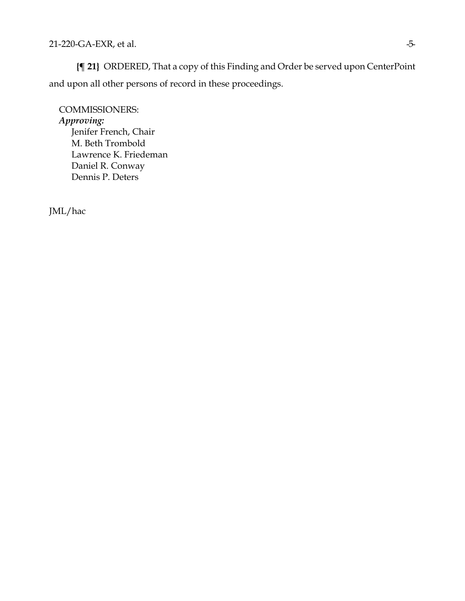**{¶ 21}** ORDERED, That a copy of this Finding and Order be served upon CenterPoint and upon all other persons of record in these proceedings.

COMMISSIONERS: *Approving:*  Jenifer French, Chair M. Beth Trombold Lawrence K. Friedeman Daniel R. Conway Dennis P. Deters

JML/hac